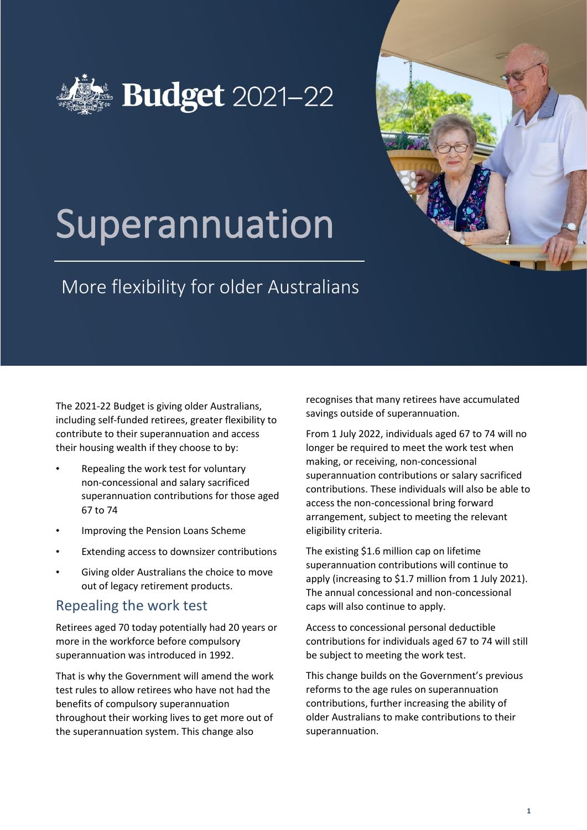



# Superannuation

# More flexibility for older Australians

The 2021-22 Budget is giving older Australians, including self-funded retirees, greater flexibility to contribute to their superannuation and access their housing wealth if they choose to by:

- Repealing the work test for voluntary non-concessional and salary sacrificed superannuation contributions for those aged 67 to 74
- Improving the Pension Loans Scheme
- Extending access to downsizer contributions
- Giving older Australians the choice to move out of legacy retirement products.

## Repealing the work test

Retirees aged 70 today potentially had 20 years or more in the workforce before compulsory superannuation was introduced in 1992.

That is why the Government will amend the work test rules to allow retirees who have not had the benefits of compulsory superannuation throughout their working lives to get more out of the superannuation system. This change also

recognises that many retirees have accumulated savings outside of superannuation.

From 1 July 2022, individuals aged 67 to 74 will no longer be required to meet the work test when making, or receiving, non-concessional superannuation contributions or salary sacrificed contributions. These individuals will also be able to access the non-concessional bring forward arrangement, subject to meeting the relevant eligibility criteria.

The existing \$1.6 million cap on lifetime superannuation contributions will continue to apply (increasing to \$1.7 million from 1 July 2021). The annual concessional and non-concessional caps will also continue to apply.

Access to concessional personal deductible contributions for individuals aged 67 to 74 will still be subject to meeting the work test.

This change builds on the Government's previous reforms to the age rules on superannuation contributions, further increasing the ability of older Australians to make contributions to their superannuation.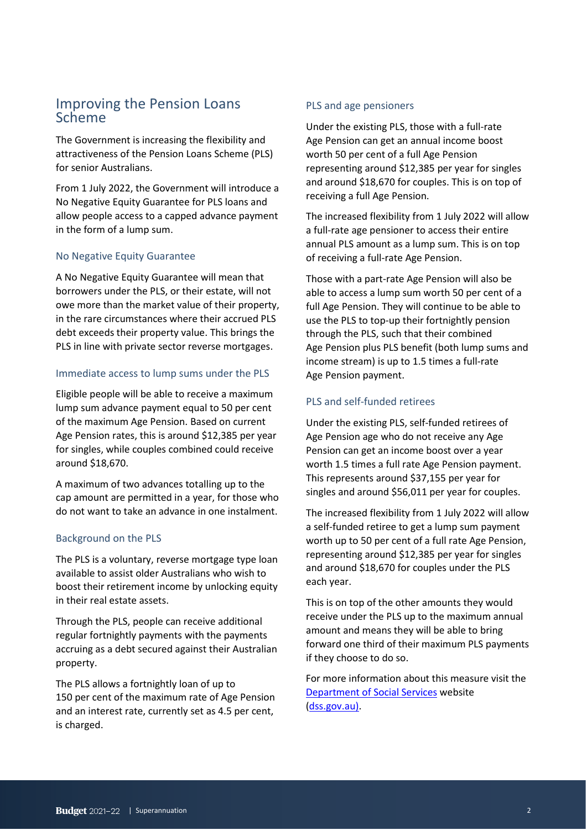### Improving the Pension Loans Scheme

The Government is increasing the flexibility and attractiveness of the Pension Loans Scheme (PLS) for senior Australians.

From 1 July 2022, the Government will introduce a No Negative Equity Guarantee for PLS loans and allow people access to a capped advance payment in the form of a lump sum.

#### No Negative Equity Guarantee

A No Negative Equity Guarantee will mean that borrowers under the PLS, or their estate, will not owe more than the market value of their property, in the rare circumstances where their accrued PLS debt exceeds their property value. This brings the PLS in line with private sector reverse mortgages.

#### Immediate access to lump sums under the PLS

Eligible people will be able to receive a maximum lump sum advance payment equal to 50 per cent of the maximum Age Pension. Based on current Age Pension rates, this is around \$12,385 per year for singles, while couples combined could receive around \$18,670.

A maximum of two advances totalling up to the cap amount are permitted in a year, for those who do not want to take an advance in one instalment.

#### Background on the PLS

The PLS is a voluntary, reverse mortgage type loan available to assist older Australians who wish to boost their retirement income by unlocking equity in their real estate assets.

Through the PLS, people can receive additional regular fortnightly payments with the payments accruing as a debt secured against their Australian property.

The PLS allows a fortnightly loan of up to 150 per cent of the maximum rate of Age Pension and an interest rate, currently set as 4.5 per cent, is charged.

#### PLS and age pensioners

Under the existing PLS, those with a full-rate Age Pension can get an annual income boost worth 50 per cent of a full Age Pension representing around \$12,385 per year for singles and around \$18,670 for couples. This is on top of receiving a full Age Pension.

The increased flexibility from 1 July 2022 will allow a full-rate age pensioner to access their entire annual PLS amount as a lump sum. This is on top of receiving a full-rate Age Pension.

Those with a part-rate Age Pension will also be able to access a lump sum worth 50 per cent of a full Age Pension. They will continue to be able to use the PLS to top-up their fortnightly pension through the PLS, such that their combined Age Pension plus PLS benefit (both lump sums and income stream) is up to 1.5 times a full-rate Age Pension payment.

#### PLS and self-funded retirees

Under the existing PLS, self-funded retirees of Age Pension age who do not receive any Age Pension can get an income boost over a year worth 1.5 times a full rate Age Pension payment. This represents around \$37,155 per year for singles and around \$56,011 per year for couples.

The increased flexibility from 1 July 2022 will allow a self-funded retiree to get a lump sum payment worth up to 50 per cent of a full rate Age Pension, representing around \$12,385 per year for singles and around \$18,670 for couples under the PLS each year.

This is on top of the other amounts they would receive under the PLS up to the maximum annual amount and means they will be able to bring forward one third of their maximum PLS payments if they choose to do so.

For more information about this measure visit the [Department of](http://www.dss.gov.au/) [Social Services](http://www.dss.gov.au/) website [\(dss.gov.au\).](http://www.dss.gov.au/)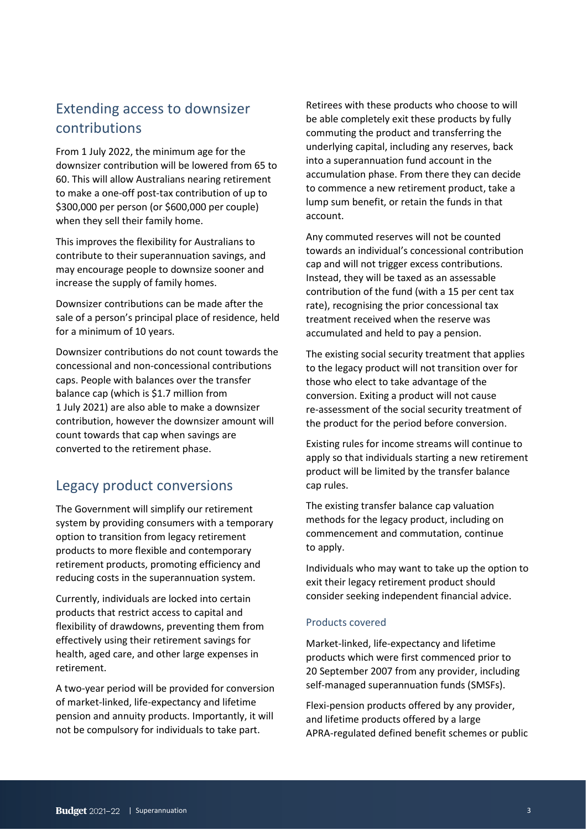# Extending access to downsizer contributions

From 1 July 2022, the minimum age for the downsizer contribution will be lowered from 65 to 60. This will allow Australians nearing retirement to make a one-off post-tax contribution of up to \$300,000 per person (or \$600,000 per couple) when they sell their family home.

This improves the flexibility for Australians to contribute to their superannuation savings, and may encourage people to downsize sooner and increase the supply of family homes.

Downsizer contributions can be made after the sale of a person's principal place of residence, held for a minimum of 10 years.

Downsizer contributions do not count towards the concessional and non-concessional contributions caps. People with balances over the transfer balance cap (which is \$1.7 million from 1 July 2021) are also able to make a downsizer contribution, however the downsizer amount will count towards that cap when savings are converted to the retirement phase.

# Legacy product conversions

The Government will simplify our retirement system by providing consumers with a temporary option to transition from legacy retirement products to more flexible and contemporary retirement products, promoting efficiency and reducing costs in the superannuation system.

Currently, individuals are locked into certain products that restrict access to capital and flexibility of drawdowns, preventing them from effectively using their retirement savings for health, aged care, and other large expenses in retirement.

A two-year period will be provided for conversion of market-linked, life-expectancy and lifetime pension and annuity products. Importantly, it will not be compulsory for individuals to take part.

Retirees with these products who choose to will be able completely exit these products by fully commuting the product and transferring the underlying capital, including any reserves, back into a superannuation fund account in the accumulation phase. From there they can decide to commence a new retirement product, take a lump sum benefit, or retain the funds in that account.

Any commuted reserves will not be counted towards an individual's concessional contribution cap and will not trigger excess contributions. Instead, they will be taxed as an assessable contribution of the fund (with a 15 per cent tax rate), recognising the prior concessional tax treatment received when the reserve was accumulated and held to pay a pension.

The existing social security treatment that applies to the legacy product will not transition over for those who elect to take advantage of the conversion. Exiting a product will not cause re-assessment of the social security treatment of the product for the period before conversion.

Existing rules for income streams will continue to apply so that individuals starting a new retirement product will be limited by the transfer balance cap rules.

The existing transfer balance cap valuation methods for the legacy product, including on commencement and commutation, continue to apply.

Individuals who may want to take up the option to exit their legacy retirement product should consider seeking independent financial advice.

#### Products covered

Market-linked, life-expectancy and lifetime products which were first commenced prior to 20 September 2007 from any provider, including self-managed superannuation funds (SMSFs).

Flexi-pension products offered by any provider, and lifetime products offered by a large APRA-regulated defined benefit schemes or public